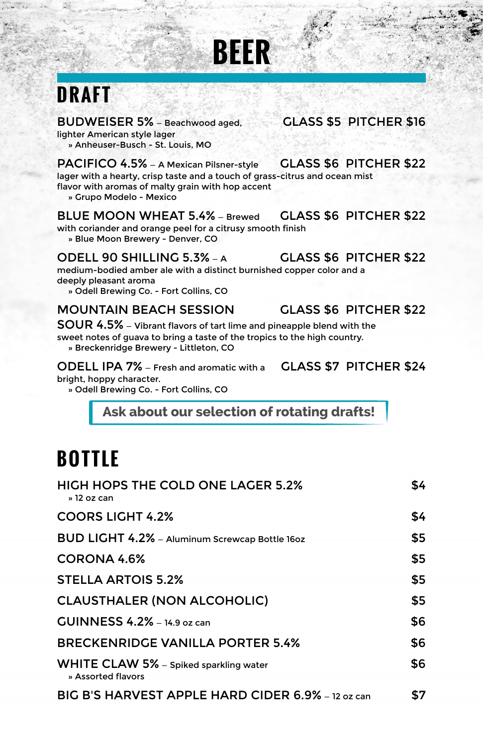## **DRAFT**

BUDWEISER 5% - Beachwood aged, **GLASS \$5 PITCHER \$16** lighter American style lager » Anheuser-Busch - St. Louis, MO

PACIFICO 4.5% - A Mexican Pilsner-style GLASS \$6 PITCHER \$22 lager with a hearty, crisp taste and a touch of grass-citrus and ocean mist flavor with aromas of malty grain with hop accent

**BEER**

» Grupo Modelo - Mexico

BLUE MOON WHEAT 5.4% — Brewed GLASS \$6 PITCHER \$22 with coriander and orange peel for a citrusy smooth finish

» Blue Moon Brewery - Denver, CO

#### ODELL 90 SHILLING  $5.3\%$   $\rightarrow$  GLASS \$6 PITCHER \$22

medium-bodied amber ale with a distinct burnished copper color and a deeply pleasant aroma

» Odell Brewing Co. - Fort Collins, CO

### MOUNTAIN BEACH SESSION GLASS \$6 PITCHER \$22

SOUR 4.5% – Vibrant flavors of tart lime and pineapple blend with the sweet notes of guava to bring a taste of the tropics to the high country.

» Breckenridge Brewery - Littleton, CO

ODELL IPA 7% — Fresh and aromatic with a GLASS \$7 PITCHER \$24 bright, hoppy character.

» Odell Brewing Co. - Fort Collins, CO

**Ask about our selection of rotating drafts!**

### **B OTTLE**

| <b>HIGH HOPS THE COLD ONE LAGER 5.2%</b><br>» 12 oz can      | \$4 |
|--------------------------------------------------------------|-----|
| <b>COORS LIGHT 4.2%</b>                                      | \$4 |
| BUD LIGHT 4.2% - Aluminum Screwcap Bottle 16oz               | \$5 |
| CORONA 4.6%                                                  | \$5 |
| <b>STELLA ARTOIS 5.2%</b>                                    | \$5 |
| <b>CLAUSTHALER (NON ALCOHOLIC)</b>                           | \$5 |
| $GUNNESS 4.2% - 14.9$ oz can                                 | \$6 |
| <b>BRECKENRIDGE VANILLA PORTER 5.4%</b>                      | \$6 |
| WHITE CLAW 5% - Spiked sparkling water<br>» Assorted flavors | \$6 |
| BIG B'S HARVEST APPLE HARD CIDER 6.9% – 12 oz can            | \$7 |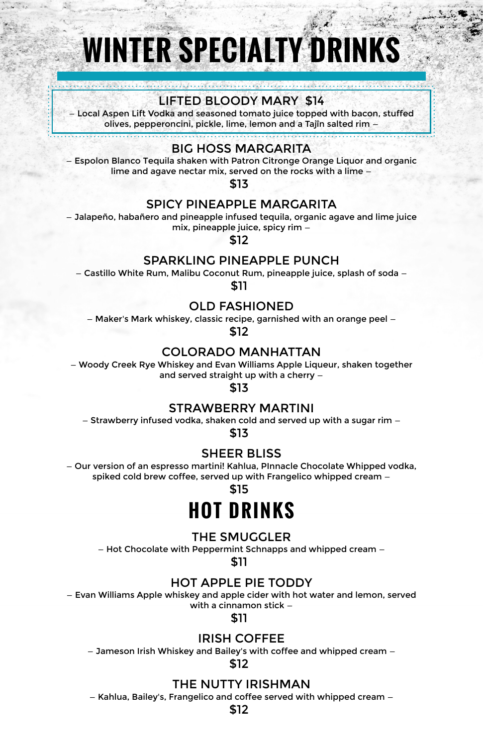# **WINTER SPECIALTY DI**

#### LIFTED BLOODY MARY \$14

ocal Aspen Lift Vodka and seasoned tomato juice topped with bacon, stuffed. olives, pepperoncini, pickle, lime, lemon and a Tajîn salted rim -

#### BIG HOSS MARGARITA

— Espolon Blanco Tequila shaken with Patron Citronge Orange Liquor and organic lime and agave nectar mix, served on the rocks with a lime —

\$13

#### SPICY PINEAPPLE MARGARITA

— Jalapeño, habañero and pineapple infused tequila, organic agave and lime juice mix, pineapple juice, spicy rim —

\$12

#### SPARKLING PINEAPPLE PUNCH

— Castillo White Rum, Malibu Coconut Rum, pineapple juice, splash of soda —

\$11

#### OLD FASHIONED

— Maker's Mark whiskey, classic recipe, garnished with an orange peel —

\$12

#### COLORADO MANHATTAN

— Woody Creek Rye Whiskey and Evan Williams Apple Liqueur, shaken together and served straight up with a cherry —

\$13

#### STRAWBERRY MARTINI

— Strawberry infused vodka, shaken cold and served up with a sugar rim —

\$13

#### SHEER BLISS

— Our version of an espresso martini! Kahlua, PInnacle Chocolate Whipped vodka, spiked cold brew coffee, served up with Frangelico whipped cream —

\$15

### **H OT DRINKS**

#### THE SMUGGLER

— Hot Chocolate with Peppermint Schnapps and whipped cream —

\$11

#### HOT APPLE PIE TODDY

— Evan Williams Apple whiskey and apple cider with hot water and lemon, served with a cinnamon stick —

\$11

#### IRISH COFFEE

— Jameson Irish Whiskey and Bailey's with coffee and whipped cream —

#### \$12

#### THE NUTTY IRISHMAN

— Kahlua, Bailey's, Frangelico and coffee served with whipped cream —

\$12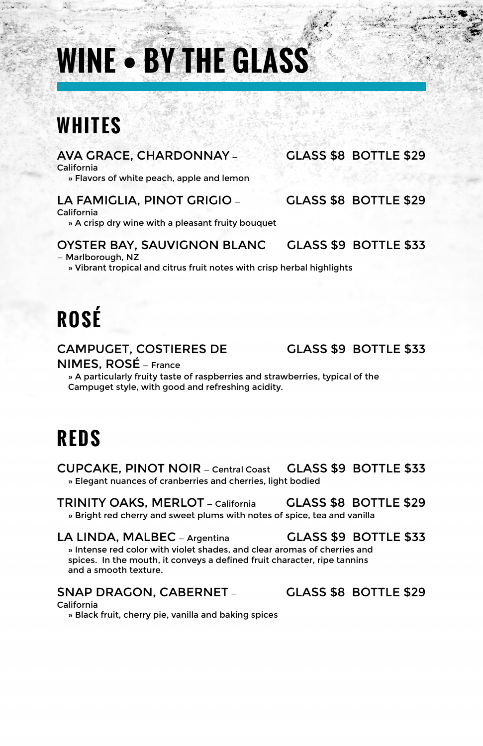## **WINE • BY THE GLASS**

### **WHITES**

#### AVA GRACE, CHARDONNAY — GLASS \$8 BOTTLE \$29

California

» Flavors of white peach, apple and lemon

#### LA FAMIGLIA, PINOT GRIGIO — GLASS \$8 BOTTLE \$29

California

» A crisp dry wine with a pleasant fruity bouquet

#### OYSTER BAY, SAUVIGNON BLANC GLASS \$9 BOTTLE \$33

— Marlborough, NZ

» Vibrant tropical and citrus fruit notes with crisp herbal highlights

## **ROSÉ**

#### CAMPUGET, COSTIERES DE GLASS \$9 BOTTLE \$33

NIMES, ROSÉ — France

» A particularly fruity taste of raspberries and strawberries, typical of the Campuget style, with good and refreshing acidity.

### **REDS**

CUPCAKE, PINOT NOIR — Central Coast GLASS \$9 BOTTLE \$33 » Elegant nuances of cranberries and cherries, light bodied

TRINITY OAKS, MERLOT — California GLASS \$8 BOTTLE \$29 » Bright red cherry and sweet plums with notes of spice, tea and vanilla

### LA LINDA, MALBEC — Argentina GLASS \$9 BOTTLE \$33

» Intense red color with violet shades, and clear aromas of cherries and spices. In the mouth, it conveys a defined fruit character, ripe tannins and a smooth texture.

#### California

» Black fruit, cherry pie, vanilla and baking spices

SNAP DRAGON, CABERNET - GLASS \$8 BOTTLE \$29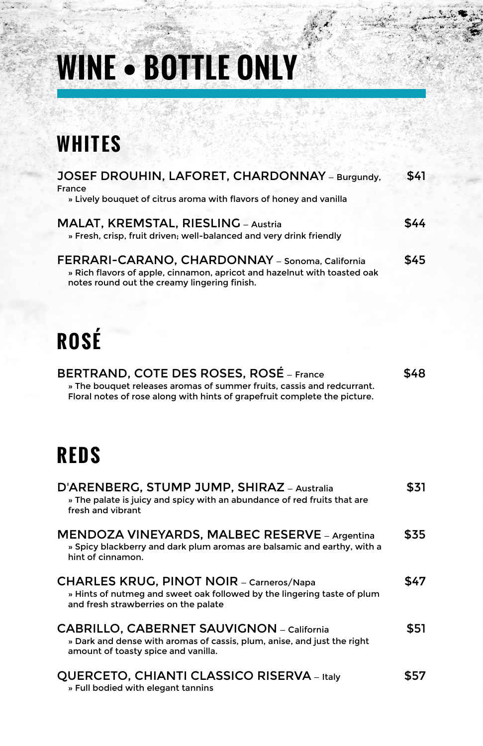# **WINE • BOTTLE ONLY**

### **WHITES**

| JOSEF DROUHIN, LAFORET, CHARDONNAY - Burgundy,<br>France                                                                                                                                              | \$41 |
|-------------------------------------------------------------------------------------------------------------------------------------------------------------------------------------------------------|------|
| » Lively bouquet of citrus aroma with flavors of honey and vanilla                                                                                                                                    |      |
| MALAT, KREMSTAL, RIESLING - Austria<br>» Fresh, crisp, fruit driven; well-balanced and very drink friendly                                                                                            | \$44 |
| FERRARI-CARANO, CHARDONNAY - Sonoma, California<br>» Rich flavors of apple, cinnamon, apricot and hazelnut with toasted oak<br>notes round out the creamy lingering finish.                           | \$45 |
|                                                                                                                                                                                                       |      |
| <b>ROSÉ</b>                                                                                                                                                                                           |      |
| <b>BERTRAND, COTE DES ROSES, ROSÉ – France</b><br>» The bouquet releases aromas of summer fruits, cassis and redcurrant.<br>Floral notes of rose along with hints of grapefruit complete the picture. | \$48 |
| <b>REDS</b>                                                                                                                                                                                           |      |
| D'ARENBERG, STUMP JUMP, SHIRAZ - Australia<br>» The palate is juicy and spicy with an abundance of red fruits that are<br>fresh and vibrant                                                           | \$31 |
| <b>MENDOZA VINEYARDS, MALBEC RESERVE - Argentina</b><br>» Spicy blackberry and dark plum aromas are balsamic and earthy, with a<br>hint of cinnamon.                                                  | \$35 |
| <b>CHARLES KRUG, PINOT NOIR - Carneros/Napa</b><br>» Hints of nutmeg and sweet oak followed by the lingering taste of plum<br>and fresh strawberries on the palate                                    | \$47 |
| <b>CABRILLO, CABERNET SAUVIGNON</b> – California<br>» Dark and dense with aromas of cassis, plum, anise, and just the right<br>amount of toasty spice and vanilla.                                    | \$51 |
| QUERCETO, CHIANTI CLASSICO RISERVA - Italy                                                                                                                                                            | \$57 |

» Full bodied with elegant tannins